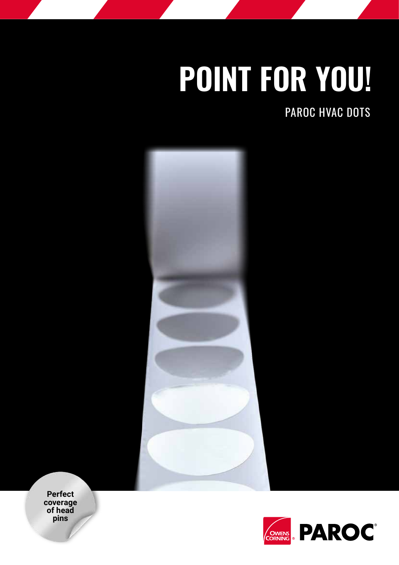## **POINT FOR YOU!**

PAROC HVAC DOTS



**Perfect coverage of head pins**